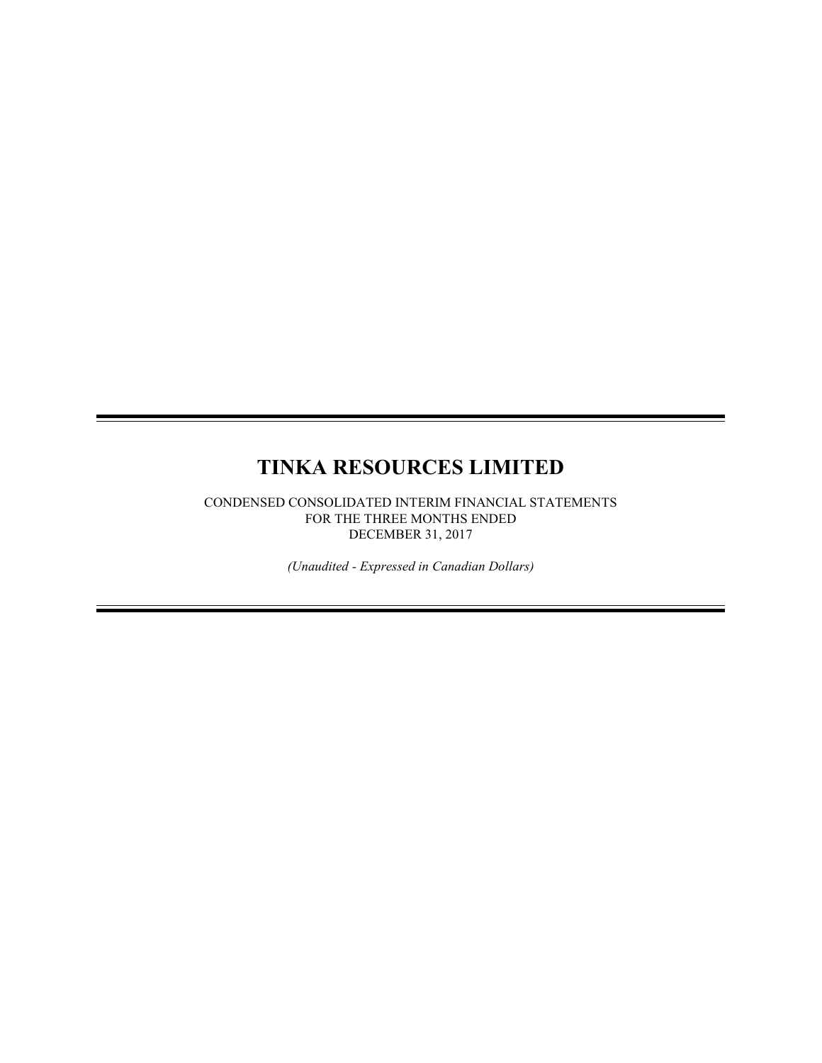# **TINKA RESOURCES LIMITED**

CONDENSED CONSOLIDATED INTERIM FINANCIAL STATEMENTS FOR THE THREE MONTHS ENDED DECEMBER 31, 2017

*(Unaudited - Expressed in Canadian Dollars)*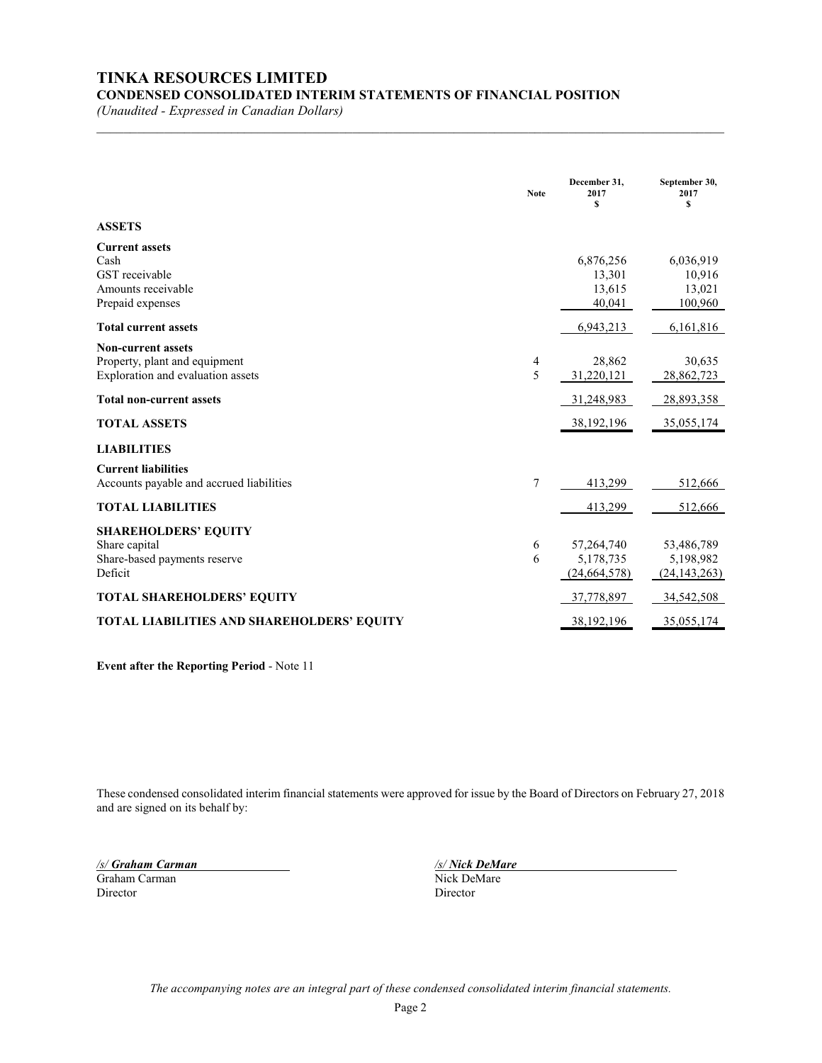# **TINKA RESOURCES LIMITED**

**CONDENSED CONSOLIDATED INTERIM STATEMENTS OF FINANCIAL POSITION**

*(Unaudited - Expressed in Canadian Dollars)*

|                                                                                                 | <b>Note</b> | December 31,<br>2017<br>$\mathbf{s}$    | September 30,<br>2017<br>\$               |
|-------------------------------------------------------------------------------------------------|-------------|-----------------------------------------|-------------------------------------------|
| <b>ASSETS</b>                                                                                   |             |                                         |                                           |
| <b>Current assets</b><br>Cash<br>GST receivable<br>Amounts receivable<br>Prepaid expenses       |             | 6,876,256<br>13,301<br>13,615<br>40,041 | 6,036,919<br>10,916<br>13,021<br>100,960  |
| <b>Total current assets</b>                                                                     |             | 6,943,213                               | 6,161,816                                 |
| <b>Non-current assets</b><br>Property, plant and equipment<br>Exploration and evaluation assets | 4<br>5      | 28,862<br>31,220,121                    | 30,635<br>28,862,723                      |
| <b>Total non-current assets</b>                                                                 |             | 31,248,983                              | 28,893,358                                |
| <b>TOTAL ASSETS</b>                                                                             |             | 38, 192, 196                            | 35,055,174                                |
| <b>LIABILITIES</b>                                                                              |             |                                         |                                           |
| <b>Current liabilities</b><br>Accounts payable and accrued liabilities                          | 7           | 413,299                                 | 512,666                                   |
| <b>TOTAL LIABILITIES</b>                                                                        |             | 413,299                                 | 512,666                                   |
| <b>SHAREHOLDERS' EQUITY</b><br>Share capital<br>Share-based payments reserve<br>Deficit         | 6<br>6      | 57,264,740<br>5,178,735<br>(24,664,578) | 53,486,789<br>5,198,982<br>(24, 143, 263) |
| <b>TOTAL SHAREHOLDERS' EQUITY</b>                                                               |             | 37,778,897                              | 34,542,508                                |
| <b>TOTAL LIABILITIES AND SHAREHOLDERS' EQUITY</b>                                               |             | 38,192,196                              | 35,055,174                                |

 $\mathcal{L}_\mathcal{L} = \{ \mathcal{L}_\mathcal{L} = \{ \mathcal{L}_\mathcal{L} = \{ \mathcal{L}_\mathcal{L} = \{ \mathcal{L}_\mathcal{L} = \{ \mathcal{L}_\mathcal{L} = \{ \mathcal{L}_\mathcal{L} = \{ \mathcal{L}_\mathcal{L} = \{ \mathcal{L}_\mathcal{L} = \{ \mathcal{L}_\mathcal{L} = \{ \mathcal{L}_\mathcal{L} = \{ \mathcal{L}_\mathcal{L} = \{ \mathcal{L}_\mathcal{L} = \{ \mathcal{L}_\mathcal{L} = \{ \mathcal{L}_\mathcal{$ 

**Event after the Reporting Period** - Note 11

These condensed consolidated interim financial statements were approved for issue by the Board of Directors on February 27, 2018 and are signed on its behalf by:

*/s/ Graham Carman /s/ Nick DeMare* Graham Carman Director Director

*The accompanying notes are an integral part of these condensed consolidated interim financial statements.*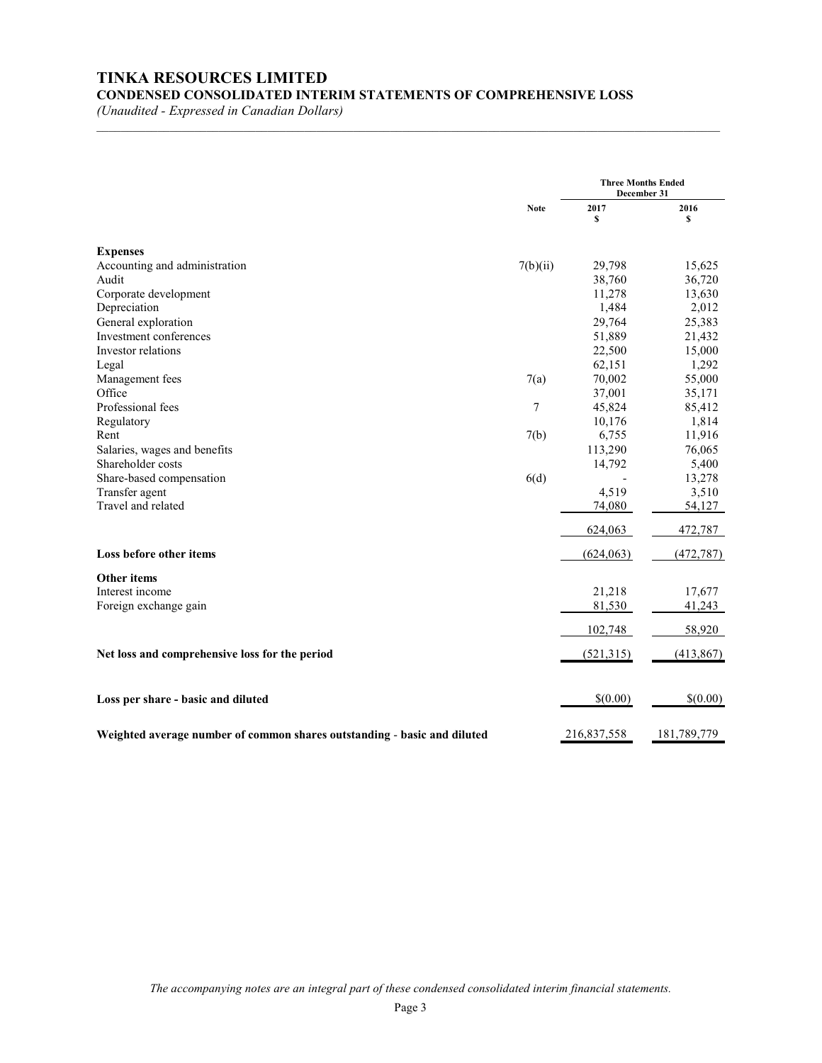# **TINKA RESOURCES LIMITED CONDENSED CONSOLIDATED INTERIM STATEMENTS OF COMPREHENSIVE LOSS**

 $\mathcal{L}_\text{max} = \mathcal{L}_\text{max} = \mathcal{L}_\text{max} = \mathcal{L}_\text{max} = \mathcal{L}_\text{max} = \mathcal{L}_\text{max} = \mathcal{L}_\text{max} = \mathcal{L}_\text{max} = \mathcal{L}_\text{max} = \mathcal{L}_\text{max} = \mathcal{L}_\text{max} = \mathcal{L}_\text{max} = \mathcal{L}_\text{max} = \mathcal{L}_\text{max} = \mathcal{L}_\text{max} = \mathcal{L}_\text{max} = \mathcal{L}_\text{max} = \mathcal{L}_\text{max} = \mathcal{$ 

*(Unaudited - Expressed in Canadian Dollars)*

|                                                                          |             |             | <b>Three Months Ended</b><br>December 31 |  |
|--------------------------------------------------------------------------|-------------|-------------|------------------------------------------|--|
|                                                                          | <b>Note</b> | 2017<br>\$  | 2016<br>s                                |  |
| <b>Expenses</b>                                                          |             |             |                                          |  |
| Accounting and administration                                            | 7(b)(ii)    | 29,798      | 15,625                                   |  |
| Audit                                                                    |             | 38,760      | 36,720                                   |  |
| Corporate development                                                    |             | 11,278      | 13,630                                   |  |
| Depreciation                                                             |             | 1,484       | 2,012                                    |  |
| General exploration                                                      |             | 29,764      | 25,383                                   |  |
| Investment conferences                                                   |             | 51,889      | 21,432                                   |  |
| Investor relations                                                       |             | 22,500      | 15,000                                   |  |
| Legal                                                                    |             | 62,151      | 1,292                                    |  |
| Management fees                                                          | 7(a)        | 70,002      | 55,000                                   |  |
| Office                                                                   |             | 37,001      | 35,171                                   |  |
| Professional fees                                                        | 7           | 45,824      | 85,412                                   |  |
| Regulatory                                                               |             | 10,176      | 1,814                                    |  |
| Rent                                                                     | 7(b)        | 6,755       | 11,916                                   |  |
| Salaries, wages and benefits                                             |             | 113,290     | 76,065                                   |  |
| Shareholder costs                                                        |             | 14,792      | 5,400                                    |  |
| Share-based compensation                                                 | 6(d)        |             | 13,278                                   |  |
| Transfer agent                                                           |             | 4,519       | 3,510                                    |  |
| Travel and related                                                       |             | 74,080      | 54,127                                   |  |
|                                                                          |             | 624,063     | 472,787                                  |  |
| Loss before other items                                                  |             | (624, 063)  | (472, 787)                               |  |
| <b>Other items</b>                                                       |             |             |                                          |  |
| Interest income                                                          |             | 21,218      | 17,677                                   |  |
| Foreign exchange gain                                                    |             | 81,530      | 41,243                                   |  |
|                                                                          |             | 102,748     | 58,920                                   |  |
| Net loss and comprehensive loss for the period                           |             | (521,315)   | (413, 867)                               |  |
|                                                                          |             |             |                                          |  |
| Loss per share - basic and diluted                                       |             | \$(0.00)    | \$(0.00)                                 |  |
| Weighted average number of common shares outstanding - basic and diluted |             | 216,837,558 | 181,789,779                              |  |

*The accompanying notes are an integral part of these condensed consolidated interim financial statements.*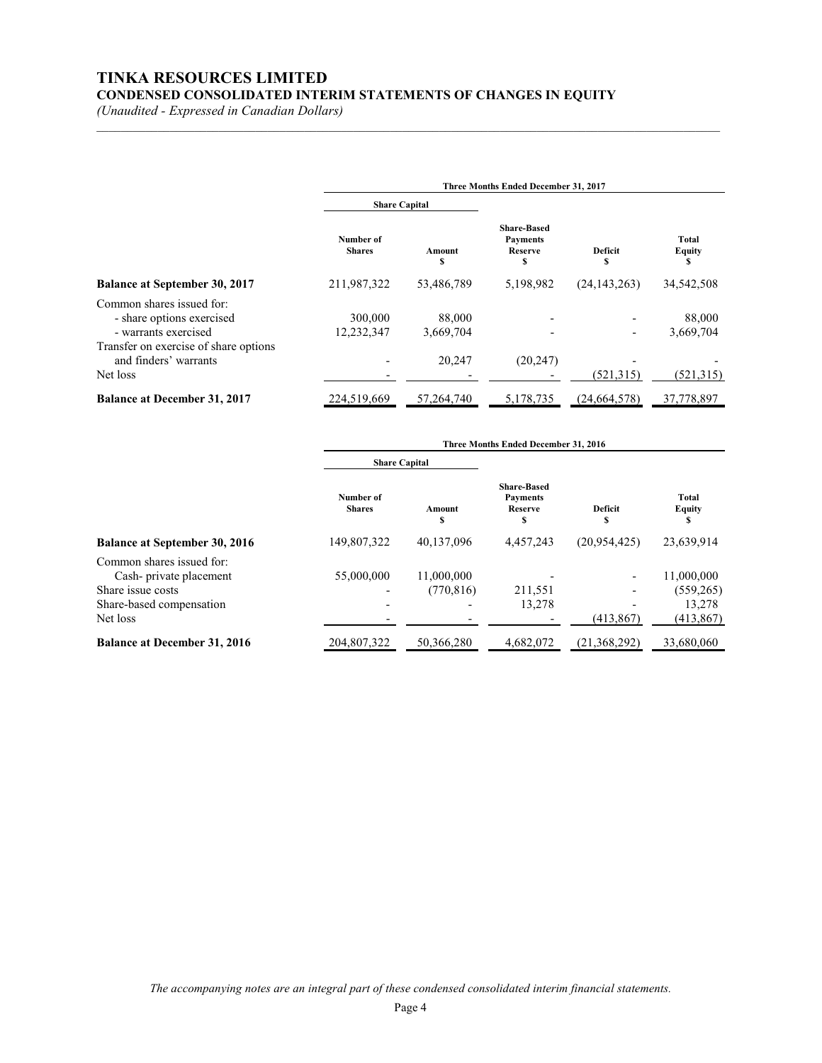# **TINKA RESOURCES LIMITED CONDENSED CONSOLIDATED INTERIM STATEMENTS OF CHANGES IN EQUITY**

*(Unaudited - Expressed in Canadian Dollars)*

|                                                                                | Three Months Ended December 31, 2017 |                     |                                                       |                      |                             |  |
|--------------------------------------------------------------------------------|--------------------------------------|---------------------|-------------------------------------------------------|----------------------|-----------------------------|--|
|                                                                                | <b>Share Capital</b>                 |                     |                                                       |                      |                             |  |
|                                                                                | Number of<br><b>Shares</b>           | Amount<br>S         | <b>Share-Based</b><br><b>Payments</b><br>Reserve<br>S | <b>Deficit</b><br>\$ | Total<br><b>Equity</b><br>S |  |
| Balance at September 30, 2017                                                  | 211,987,322                          | 53,486,789          | 5,198,982                                             | (24, 143, 263)       | 34,542,508                  |  |
| Common shares issued for:<br>- share options exercised<br>- warrants exercised | 300,000<br>12,232,347                | 88,000<br>3,669,704 |                                                       | -                    | 88,000<br>3.669.704         |  |
| Transfer on exercise of share options<br>and finders' warrants<br>Net loss     |                                      | 20,247              | (20, 247)                                             | (521, 315)           | (521, 315)                  |  |
| <b>Balance at December 31, 2017</b>                                            | 224,519,669                          | 57, 264, 740        | 5,178,735                                             | (24,664,578)         | 37,778,897                  |  |

 $\mathcal{L}_\text{max} = \mathcal{L}_\text{max} = \mathcal{L}_\text{max} = \mathcal{L}_\text{max} = \mathcal{L}_\text{max} = \mathcal{L}_\text{max} = \mathcal{L}_\text{max} = \mathcal{L}_\text{max} = \mathcal{L}_\text{max} = \mathcal{L}_\text{max} = \mathcal{L}_\text{max} = \mathcal{L}_\text{max} = \mathcal{L}_\text{max} = \mathcal{L}_\text{max} = \mathcal{L}_\text{max} = \mathcal{L}_\text{max} = \mathcal{L}_\text{max} = \mathcal{L}_\text{max} = \mathcal{$ 

|                                                                          | Three Months Ended December 31, 2016 |                          |                                                              |              |                             |
|--------------------------------------------------------------------------|--------------------------------------|--------------------------|--------------------------------------------------------------|--------------|-----------------------------|
|                                                                          | <b>Share Capital</b>                 |                          |                                                              |              |                             |
|                                                                          | Number of<br><b>Shares</b>           | Amount<br>S              | <b>Share-Based</b><br><b>Payments</b><br><b>Reserve</b><br>S | Deficit<br>S | Total<br><b>Equity</b><br>S |
| <b>Balance at September 30, 2016</b>                                     | 149,807,322                          | 40,137,096               | 4,457,243                                                    | (20,954,425) | 23,639,914                  |
| Common shares issued for:<br>Cash-private placement<br>Share issue costs | 55,000,000                           | 11,000,000<br>(770, 816) | 211,551                                                      |              | 11,000,000<br>(559, 265)    |
| Share-based compensation<br>Net loss                                     |                                      |                          | 13.278                                                       | (413, 867)   | 13.278<br>(413, 867)        |
| <b>Balance at December 31, 2016</b>                                      | 204,807,322                          | 50.366.280               | 4,682,072                                                    | (21,368,292) | 33,680,060                  |

*The accompanying notes are an integral part of these condensed consolidated interim financial statements.*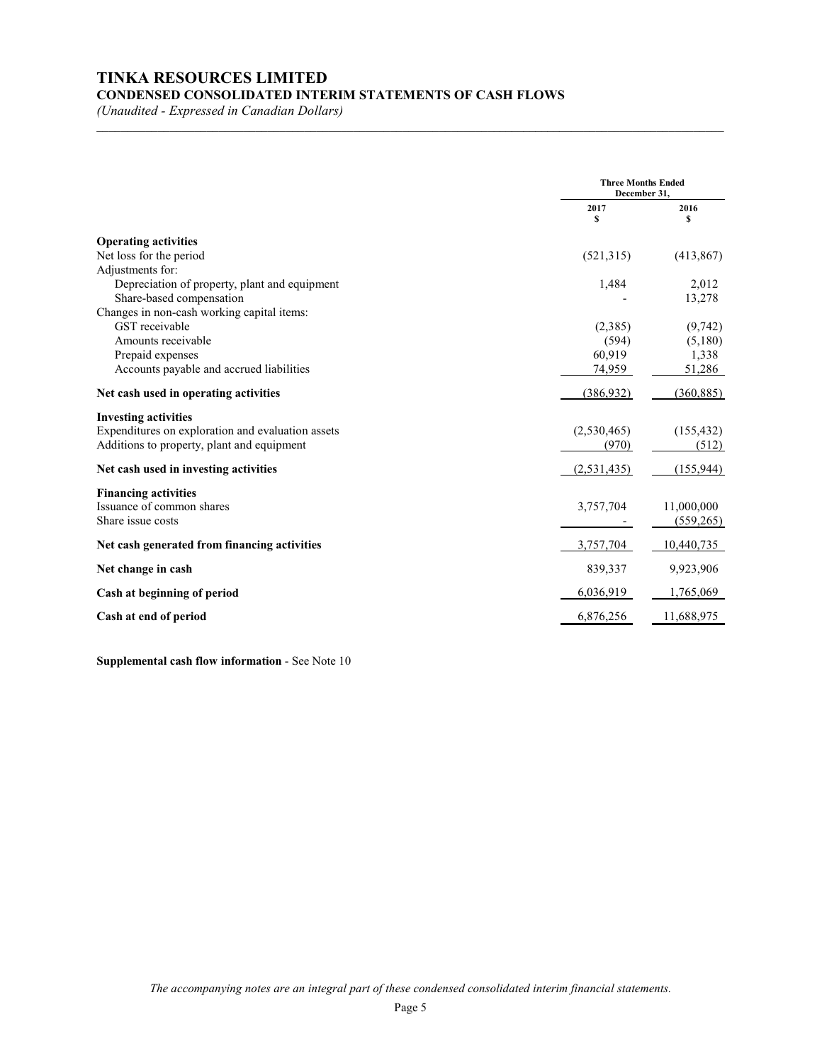# **TINKA RESOURCES LIMITED CONDENSED CONSOLIDATED INTERIM STATEMENTS OF CASH FLOWS**

*(Unaudited - Expressed in Canadian Dollars)*

|                                                   | <b>Three Months Ended</b><br>December 31. |            |
|---------------------------------------------------|-------------------------------------------|------------|
|                                                   | 2017<br>\$                                | 2016<br>s  |
| <b>Operating activities</b>                       |                                           |            |
| Net loss for the period                           | (521, 315)                                | (413, 867) |
| Adjustments for:                                  |                                           |            |
| Depreciation of property, plant and equipment     | 1,484                                     | 2,012      |
| Share-based compensation                          |                                           | 13,278     |
| Changes in non-cash working capital items:        |                                           |            |
| GST receivable                                    | (2,385)                                   | (9, 742)   |
| Amounts receivable                                | (594)                                     | (5,180)    |
| Prepaid expenses                                  | 60,919                                    | 1,338      |
| Accounts payable and accrued liabilities          | 74,959                                    | 51,286     |
| Net cash used in operating activities             | (386, 932)                                | (360, 885) |
| <b>Investing activities</b>                       |                                           |            |
| Expenditures on exploration and evaluation assets | (2,530,465)                               | (155, 432) |
| Additions to property, plant and equipment        | (970)                                     | (512)      |
| Net cash used in investing activities             | (2, 531, 435)                             | (155, 944) |
| <b>Financing activities</b>                       |                                           |            |
| Issuance of common shares                         | 3,757,704                                 | 11,000,000 |
| Share issue costs                                 |                                           | (559,265)  |
| Net cash generated from financing activities      | 3,757,704                                 | 10,440,735 |
| Net change in cash                                | 839,337                                   | 9,923,906  |
| Cash at beginning of period                       | 6,036,919                                 | 1,765,069  |
| Cash at end of period                             | 6,876,256                                 | 11,688,975 |

\_\_\_\_\_\_\_\_\_\_\_\_\_\_\_\_\_\_\_\_\_\_\_\_\_\_\_\_\_\_\_\_\_\_\_\_\_\_\_\_\_\_\_\_\_\_\_\_\_\_\_\_\_\_\_\_\_\_\_\_\_\_\_\_\_\_\_\_\_\_\_\_\_\_\_\_\_\_\_\_\_\_\_\_\_\_\_\_\_\_\_\_\_\_\_\_\_\_\_\_\_\_\_

**Supplemental cash flow information** - See Note 10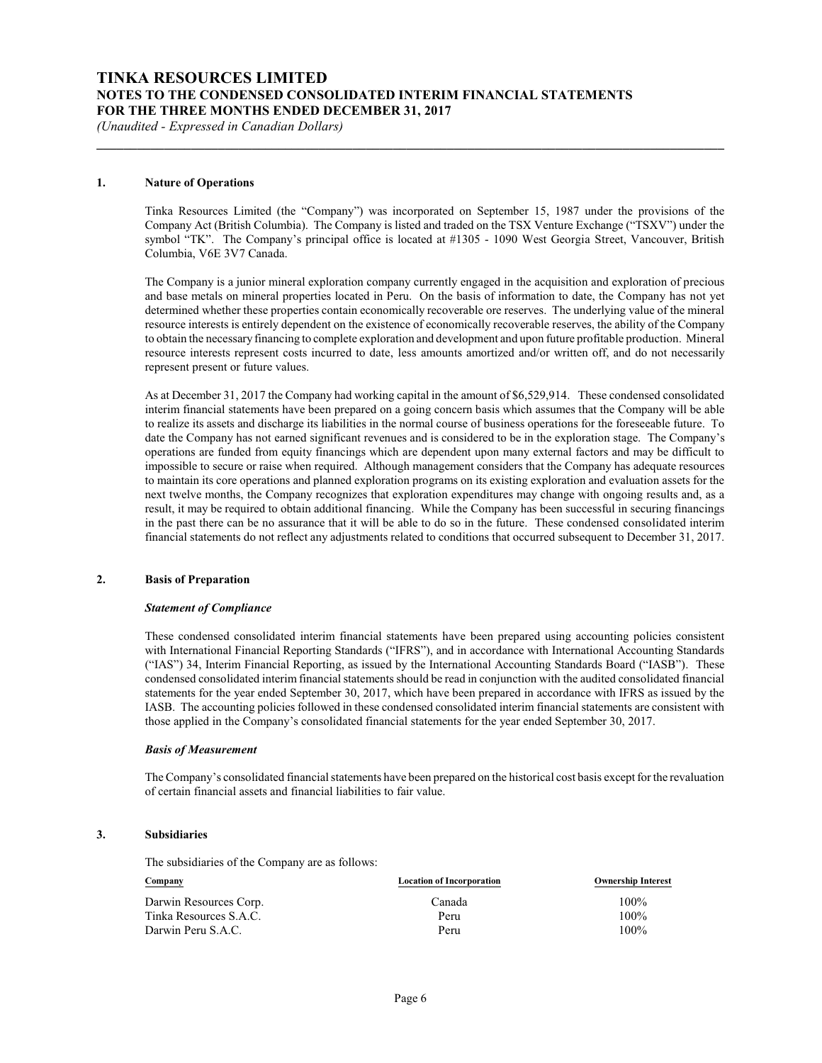# **TINKA RESOURCES LIMITED NOTES TO THE CONDENSED CONSOLIDATED INTERIM FINANCIAL STATEMENTS FOR THE THREE MONTHS ENDED DECEMBER 31, 2017**

*(Unaudited - Expressed in Canadian Dollars)*

#### **1. Nature of Operations**

Tinka Resources Limited (the "Company") was incorporated on September 15, 1987 under the provisions of the Company Act (British Columbia). The Company is listed and traded on the TSX Venture Exchange ("TSXV") under the symbol "TK". The Company's principal office is located at #1305 - 1090 West Georgia Street, Vancouver, British Columbia, V6E 3V7 Canada.

**\_\_\_\_\_\_\_\_\_\_\_\_\_\_\_\_\_\_\_\_\_\_\_\_\_\_\_\_\_\_\_\_\_\_\_\_\_\_\_\_\_\_\_\_\_\_\_\_\_\_\_\_\_\_\_\_\_\_\_\_\_\_\_\_\_\_\_\_\_\_\_\_\_\_\_\_\_\_\_\_\_\_\_\_\_\_\_\_\_\_\_\_\_**

The Company is a junior mineral exploration company currently engaged in the acquisition and exploration of precious and base metals on mineral properties located in Peru. On the basis of information to date, the Company has not yet determined whether these properties contain economically recoverable ore reserves. The underlying value of the mineral resource interests is entirely dependent on the existence of economically recoverable reserves, the ability of the Company to obtain the necessary financing to complete exploration and development and upon future profitable production. Mineral resource interests represent costs incurred to date, less amounts amortized and/or written off, and do not necessarily represent present or future values.

As at December 31, 2017 the Company had working capital in the amount of \$6,529,914. These condensed consolidated interim financial statements have been prepared on a going concern basis which assumes that the Company will be able to realize its assets and discharge its liabilities in the normal course of business operations for the foreseeable future. To date the Company has not earned significant revenues and is considered to be in the exploration stage. The Company's operations are funded from equity financings which are dependent upon many external factors and may be difficult to impossible to secure or raise when required. Although management considers that the Company has adequate resources to maintain its core operations and planned exploration programs on its existing exploration and evaluation assets for the next twelve months, the Company recognizes that exploration expenditures may change with ongoing results and, as a result, it may be required to obtain additional financing. While the Company has been successful in securing financings in the past there can be no assurance that it will be able to do so in the future. These condensed consolidated interim financial statements do not reflect any adjustments related to conditions that occurred subsequent to December 31, 2017.

#### **2. Basis of Preparation**

#### *Statement of Compliance*

These condensed consolidated interim financial statements have been prepared using accounting policies consistent with International Financial Reporting Standards ("IFRS"), and in accordance with International Accounting Standards ("IAS") 34, Interim Financial Reporting, as issued by the International Accounting Standards Board ("IASB"). These condensed consolidated interim financial statements should be read in conjunction with the audited consolidated financial statements for the year ended September 30, 2017, which have been prepared in accordance with IFRS as issued by the IASB. The accounting policies followed in these condensed consolidated interim financial statements are consistent with those applied in the Company's consolidated financial statements for the year ended September 30, 2017.

#### *Basis of Measurement*

The Company's consolidated financial statements have been prepared on the historical cost basis except for the revaluation of certain financial assets and financial liabilities to fair value.

#### **3. Subsidiaries**

The subsidiaries of the Company are as follows:

| Company                | <b>Location of Incorporation</b> | <b>Ownership Interest</b> |
|------------------------|----------------------------------|---------------------------|
| Darwin Resources Corp. | Canada                           | $100\%$                   |
| Tinka Resources S.A.C. | Peru                             | $100\%$                   |
| Darwin Peru S.A.C.     | Peru                             | $100\%$                   |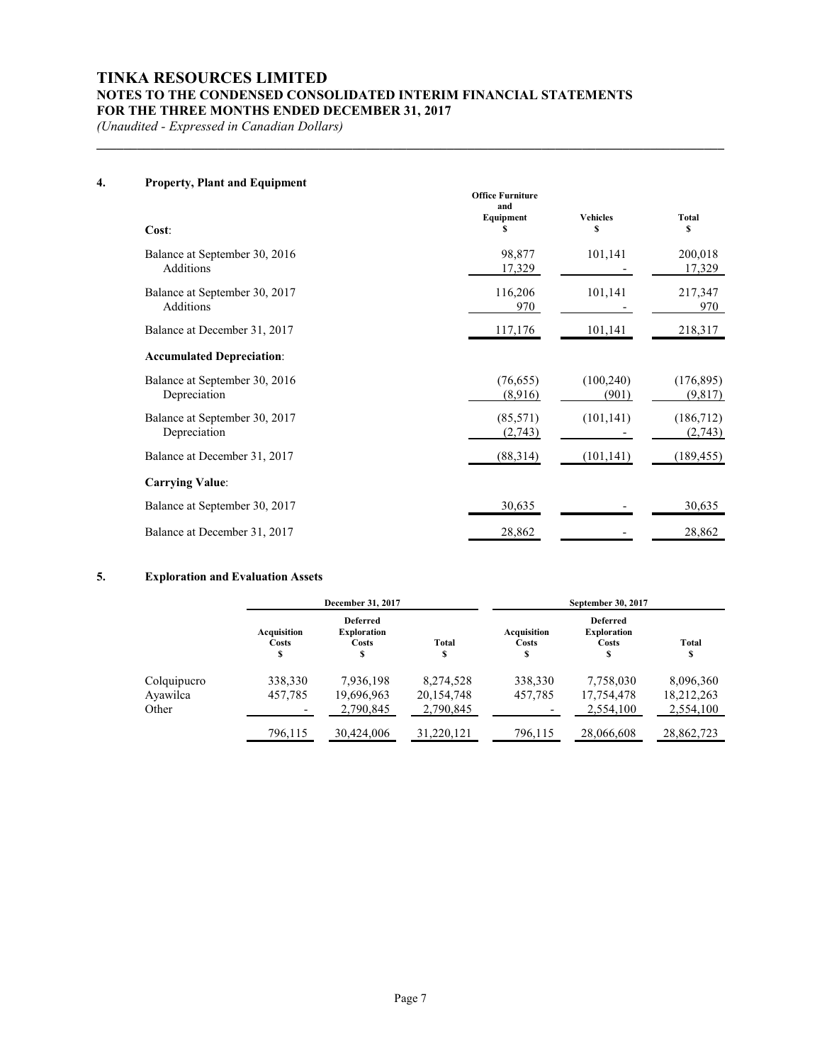# **TINKA RESOURCES LIMITED NOTES TO THE CONDENSED CONSOLIDATED INTERIM FINANCIAL STATEMENTS FOR THE THREE MONTHS ENDED DECEMBER 31, 2017**

**\_\_\_\_\_\_\_\_\_\_\_\_\_\_\_\_\_\_\_\_\_\_\_\_\_\_\_\_\_\_\_\_\_\_\_\_\_\_\_\_\_\_\_\_\_\_\_\_\_\_\_\_\_\_\_\_\_\_\_\_\_\_\_\_\_\_\_\_\_\_\_\_\_\_\_\_\_\_\_\_\_\_\_\_\_\_\_\_\_\_\_\_\_**

*(Unaudited - Expressed in Canadian Dollars)*

## **4. Property, Plant and Equipment**

| Cost:                                         | <b>Office Furniture</b><br>and<br>Equipment<br>S | <b>Vehicles</b><br>S | <b>Total</b><br>\$    |
|-----------------------------------------------|--------------------------------------------------|----------------------|-----------------------|
| Balance at September 30, 2016<br>Additions    | 98,877<br>17,329                                 | 101,141              | 200,018<br>17,329     |
| Balance at September 30, 2017<br>Additions    | 116,206<br>970                                   | 101,141              | 217,347<br>970        |
| Balance at December 31, 2017                  | 117,176                                          | 101,141              | 218,317               |
| <b>Accumulated Depreciation:</b>              |                                                  |                      |                       |
| Balance at September 30, 2016<br>Depreciation | (76, 655)<br>(8,916)                             | (100, 240)<br>(901)  | (176, 895)<br>(9,817) |
| Balance at September 30, 2017<br>Depreciation | (85,571)<br>(2,743)                              | (101, 141)           | (186,712)<br>(2,743)  |
| Balance at December 31, 2017                  | (88,314)                                         | (101, 141)           | (189, 455)            |
| <b>Carrying Value:</b>                        |                                                  |                      |                       |
| Balance at September 30, 2017                 | 30,635                                           |                      | 30,635                |
| Balance at December 31, 2017                  | 28,862                                           |                      | 28,862                |

# **5. Exploration and Evaluation Assets**

|             |                           | December 31, 2017                                   |              |                            | September 30, 2017                                         |             |
|-------------|---------------------------|-----------------------------------------------------|--------------|----------------------------|------------------------------------------------------------|-------------|
|             | Acquisition<br>Costs<br>S | <b>Deferred</b><br><b>Exploration</b><br>Costs<br>s | Total<br>\$  | Acquisition<br>Costs<br>\$ | <b>Deferred</b><br><b>Exploration</b><br><b>Costs</b><br>S | Total<br>\$ |
| Colquipucro | 338,330                   | 7,936,198                                           | 8,274,528    | 338,330                    | 7,758,030                                                  | 8,096,360   |
| Ayawilca    | 457,785                   | 19,696,963                                          | 20, 154, 748 | 457,785                    | 17,754,478                                                 | 18,212,263  |
| Other       |                           | 2,790,845                                           | 2,790,845    |                            | 2.554.100                                                  | 2,554,100   |
|             | 796,115                   | 30,424,006                                          | 31,220,121   | 796,115                    | 28,066,608                                                 | 28,862,723  |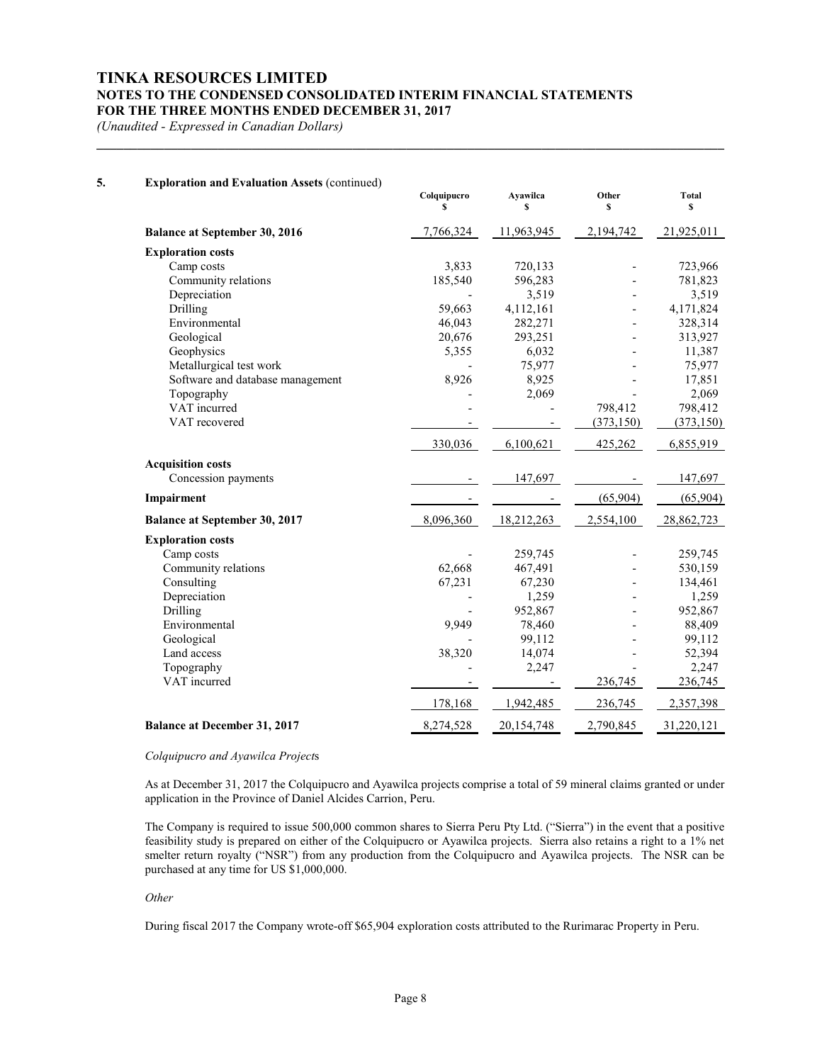# **TINKA RESOURCES LIMITED NOTES TO THE CONDENSED CONSOLIDATED INTERIM FINANCIAL STATEMENTS FOR THE THREE MONTHS ENDED DECEMBER 31, 2017**

**\_\_\_\_\_\_\_\_\_\_\_\_\_\_\_\_\_\_\_\_\_\_\_\_\_\_\_\_\_\_\_\_\_\_\_\_\_\_\_\_\_\_\_\_\_\_\_\_\_\_\_\_\_\_\_\_\_\_\_\_\_\_\_\_\_\_\_\_\_\_\_\_\_\_\_\_\_\_\_\_\_\_\_\_\_\_\_\_\_\_\_\_\_**

*(Unaudited - Expressed in Canadian Dollars)*

| 5. | <b>Exploration and Evaluation Assets (continued)</b> | Colquipucro<br>S | Ayawilca<br>\$ | Other<br>S | <b>Total</b><br>\$ |
|----|------------------------------------------------------|------------------|----------------|------------|--------------------|
|    | Balance at September 30, 2016                        | 7,766,324        | 11,963,945     | 2,194,742  | 21,925,011         |
|    | <b>Exploration costs</b>                             |                  |                |            |                    |
|    | Camp costs                                           | 3,833            | 720,133        |            | 723,966            |
|    | Community relations                                  | 185,540          | 596,283        |            | 781,823            |
|    | Depreciation                                         |                  | 3,519          |            | 3,519              |
|    | Drilling                                             | 59,663           | 4,112,161      |            | 4,171,824          |
|    | Environmental                                        | 46,043           | 282,271        |            | 328,314            |
|    | Geological                                           | 20,676           | 293,251        |            | 313,927            |
|    | Geophysics                                           | 5,355            | 6,032          |            | 11,387             |
|    | Metallurgical test work                              |                  | 75,977         |            | 75,977             |
|    | Software and database management                     | 8,926            | 8,925          |            | 17,851             |
|    | Topography                                           |                  | 2,069          |            | 2,069              |
|    | VAT incurred                                         |                  |                | 798,412    | 798,412            |
|    | VAT recovered                                        |                  |                | (373, 150) | (373, 150)         |
|    |                                                      | 330,036          | 6,100,621      | 425,262    | 6,855,919          |
|    | <b>Acquisition costs</b>                             |                  |                |            |                    |
|    | Concession payments                                  |                  | 147,697        |            | 147,697            |
|    | Impairment                                           |                  |                | (65,904)   | (65,904)           |
|    | <b>Balance at September 30, 2017</b>                 | 8,096,360        | 18,212,263     | 2,554,100  | 28,862,723         |
|    | <b>Exploration costs</b>                             |                  |                |            |                    |
|    | Camp costs                                           |                  | 259,745        |            | 259,745            |
|    | Community relations                                  | 62,668           | 467,491        |            | 530,159            |
|    | Consulting                                           | 67,231           | 67,230         |            | 134,461            |
|    | Depreciation                                         |                  | 1,259          |            | 1,259              |
|    | Drilling                                             |                  | 952,867        |            | 952,867            |
|    | Environmental                                        | 9,949            | 78,460         |            | 88,409             |
|    | Geological                                           |                  | 99,112         |            | 99,112             |
|    | Land access                                          | 38,320           | 14,074         |            | 52,394             |
|    | Topography                                           |                  | 2,247          |            | 2,247              |
|    | VAT incurred                                         |                  |                | 236,745    | 236,745            |
|    |                                                      | 178,168          | 1,942,485      | 236,745    | 2,357,398          |
|    | <b>Balance at December 31, 2017</b>                  | 8,274,528        | 20,154,748     | 2,790,845  | 31,220,121         |

#### *Colquipucro and Ayawilca Project*s

As at December 31, 2017 the Colquipucro and Ayawilca projects comprise a total of 59 mineral claims granted or under application in the Province of Daniel Alcides Carrion, Peru.

The Company is required to issue 500,000 common shares to Sierra Peru Pty Ltd. ("Sierra") in the event that a positive feasibility study is prepared on either of the Colquipucro or Ayawilca projects. Sierra also retains a right to a 1% net smelter return royalty ("NSR") from any production from the Colquipucro and Ayawilca projects. The NSR can be purchased at any time for US \$1,000,000.

#### *Other*

During fiscal 2017 the Company wrote-off \$65,904 exploration costs attributed to the Rurimarac Property in Peru.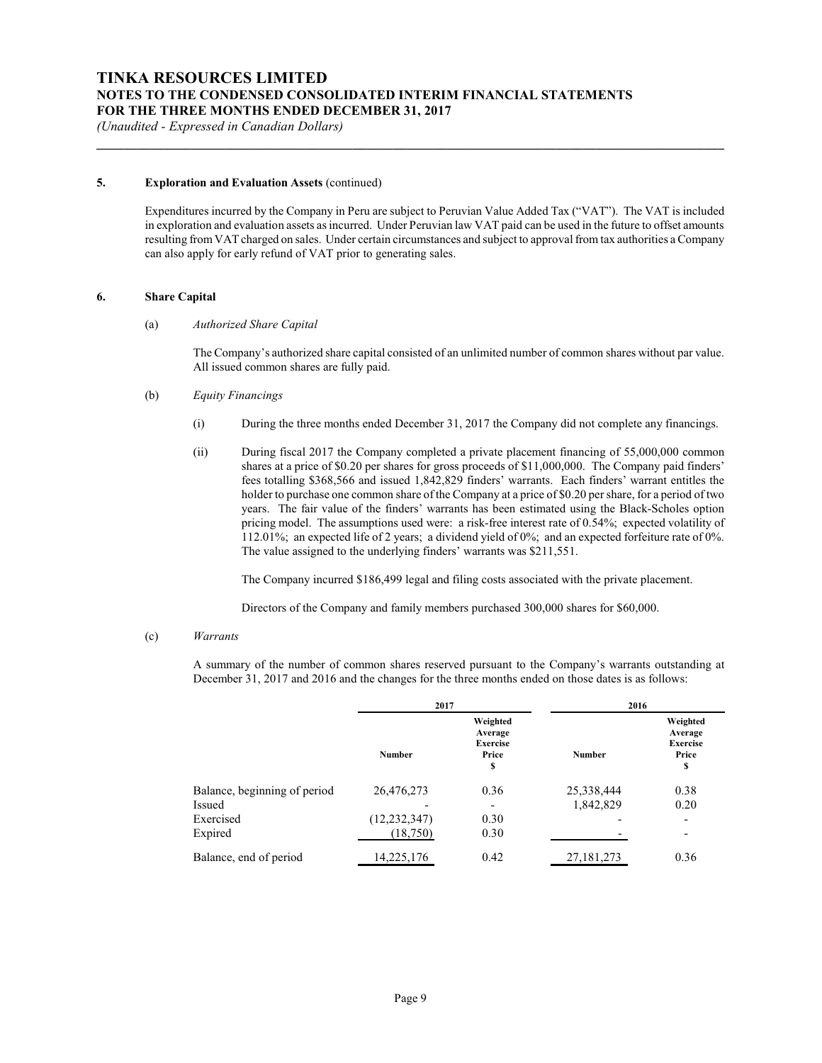#### **5. Exploration and Evaluation Assets** (continued)

Expenditures incurred by the Company in Peru are subject to Peruvian Value Added Tax ("VAT"). The VAT is included in exploration and evaluation assets as incurred. Under Peruvian law VAT paid can be used in the future to offset amounts resulting from VAT charged on sales. Under certain circumstances and subject to approval from tax authorities a Company can also apply for early refund of VAT prior to generating sales.

**\_\_\_\_\_\_\_\_\_\_\_\_\_\_\_\_\_\_\_\_\_\_\_\_\_\_\_\_\_\_\_\_\_\_\_\_\_\_\_\_\_\_\_\_\_\_\_\_\_\_\_\_\_\_\_\_\_\_\_\_\_\_\_\_\_\_\_\_\_\_\_\_\_\_\_\_\_\_\_\_\_\_\_\_\_\_\_\_\_\_\_\_\_**

#### **6. Share Capital**

#### (a) *Authorized Share Capital*

The Company's authorized share capital consisted of an unlimited number of common shares without par value. All issued common shares are fully paid.

#### (b) *Equity Financings*

- (i) During the three months ended December 31, 2017 the Company did not complete any financings.
- (ii) During fiscal 2017 the Company completed a private placement financing of 55,000,000 common shares at a price of \$0.20 per shares for gross proceeds of \$11,000,000. The Company paid finders' fees totalling \$368,566 and issued 1,842,829 finders' warrants. Each finders' warrant entitles the holder to purchase one common share of the Company at a price of \$0.20 per share, for a period of two years. The fair value of the finders' warrants has been estimated using the Black-Scholes option pricing model. The assumptions used were: a risk-free interest rate of 0.54%; expected volatility of 112.01%; an expected life of 2 years; a dividend yield of 0%; and an expected forfeiture rate of 0%. The value assigned to the underlying finders' warrants was \$211,551.

The Company incurred \$186,499 legal and filing costs associated with the private placement.

Directors of the Company and family members purchased 300,000 shares for \$60,000.

#### (c) *Warrants*

A summary of the number of common shares reserved pursuant to the Company's warrants outstanding at December 31, 2017 and 2016 and the changes for the three months ended on those dates is as follows:

|                              | 2017           |                                                       |               | 2016                                                  |  |
|------------------------------|----------------|-------------------------------------------------------|---------------|-------------------------------------------------------|--|
|                              | <b>Number</b>  | Weighted<br>Average<br><b>Exercise</b><br>Price<br>\$ | <b>Number</b> | Weighted<br>Average<br><b>Exercise</b><br>Price<br>\$ |  |
| Balance, beginning of period | 26,476,273     | 0.36                                                  | 25,338,444    | 0.38                                                  |  |
| Issued                       |                | $\overline{\phantom{0}}$                              | 1,842,829     | 0.20                                                  |  |
| Exercised                    | (12, 232, 347) | 0.30                                                  |               | $\overline{\phantom{0}}$                              |  |
| Expired                      | (18, 750)      | 0.30                                                  |               | -                                                     |  |
| Balance, end of period       | 14,225,176     | 0.42                                                  | 27,181,273    | 0.36                                                  |  |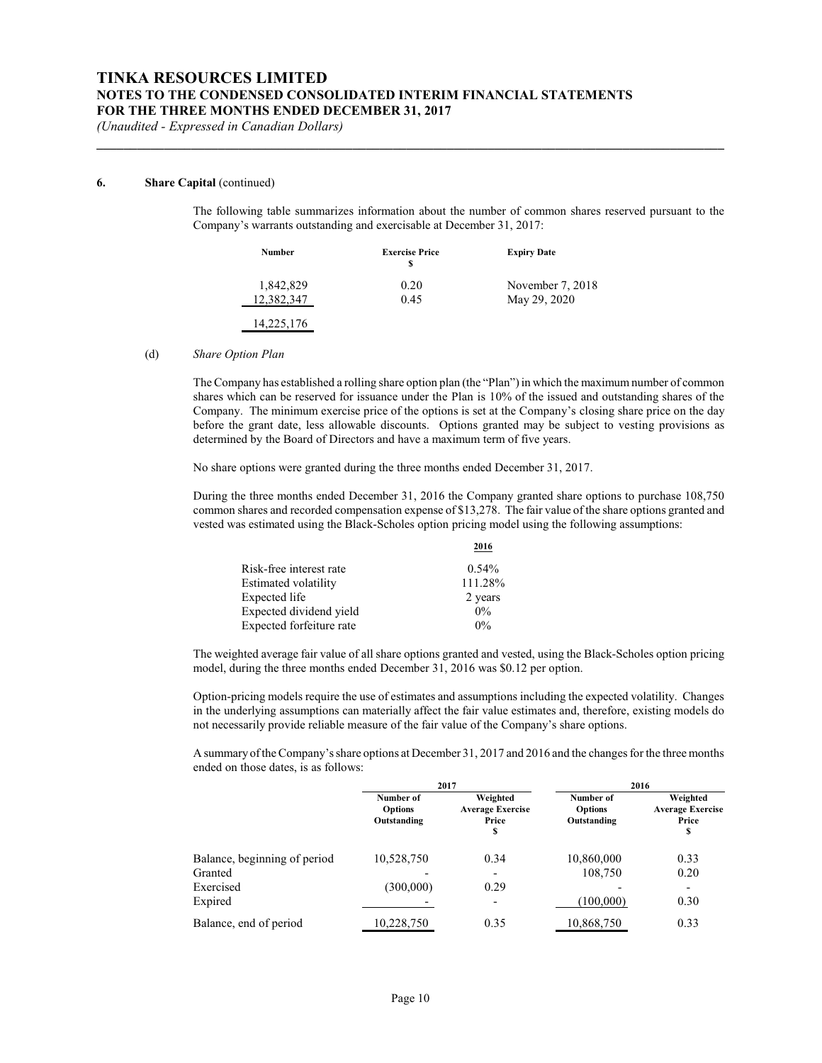#### **6. Share Capital** (continued)

The following table summarizes information about the number of common shares reserved pursuant to the Company's warrants outstanding and exercisable at December 31, 2017:

| Number     | <b>Exercise Price</b> | <b>Expiry Date</b> |
|------------|-----------------------|--------------------|
| 1,842,829  | 0.20                  | November 7, 2018   |
| 12.382.347 | 0.45                  | May 29, 2020       |
| 14,225,176 |                       |                    |

**\_\_\_\_\_\_\_\_\_\_\_\_\_\_\_\_\_\_\_\_\_\_\_\_\_\_\_\_\_\_\_\_\_\_\_\_\_\_\_\_\_\_\_\_\_\_\_\_\_\_\_\_\_\_\_\_\_\_\_\_\_\_\_\_\_\_\_\_\_\_\_\_\_\_\_\_\_\_\_\_\_\_\_\_\_\_\_\_\_\_\_\_\_**

#### (d) *Share Option Plan*

The Company has established a rolling share option plan (the "Plan") in which the maximum number of common shares which can be reserved for issuance under the Plan is 10% of the issued and outstanding shares of the Company. The minimum exercise price of the options is set at the Company's closing share price on the day before the grant date, less allowable discounts. Options granted may be subject to vesting provisions as determined by the Board of Directors and have a maximum term of five years.

No share options were granted during the three months ended December 31, 2017.

During the three months ended December 31, 2016 the Company granted share options to purchase 108,750 common shares and recorded compensation expense of \$13,278. The fair value of the share options granted and vested was estimated using the Black-Scholes option pricing model using the following assumptions:

|                          | 2016     |
|--------------------------|----------|
| Risk-free interest rate  | $0.54\%$ |
| Estimated volatility     | 111.28%  |
| Expected life            | 2 years  |
| Expected dividend yield  | $0\%$    |
| Expected forfeiture rate | $0\%$    |

The weighted average fair value of all share options granted and vested, using the Black-Scholes option pricing model, during the three months ended December 31, 2016 was \$0.12 per option.

Option-pricing models require the use of estimates and assumptions including the expected volatility. Changes in the underlying assumptions can materially affect the fair value estimates and, therefore, existing models do not necessarily provide reliable measure of the fair value of the Company's share options.

A summary of the Company'sshare options at December 31, 2017 and 2016 and the changes for the three months ended on those dates, is as follows:

|                              | 2017                                       |                                                    | 2016                                       |                                                    |  |
|------------------------------|--------------------------------------------|----------------------------------------------------|--------------------------------------------|----------------------------------------------------|--|
|                              | Number of<br><b>Options</b><br>Outstanding | Weighted<br><b>Average Exercise</b><br>Price<br>\$ | Number of<br><b>Options</b><br>Outstanding | Weighted<br><b>Average Exercise</b><br>Price<br>\$ |  |
| Balance, beginning of period | 10,528,750                                 | 0.34                                               | 10,860,000                                 | 0.33                                               |  |
| Granted                      |                                            | $\overline{a}$                                     | 108,750                                    | 0.20                                               |  |
| Exercised                    | (300,000)                                  | 0.29                                               |                                            |                                                    |  |
| Expired                      |                                            | $\overline{a}$                                     | (100,000)                                  | 0.30                                               |  |
| Balance, end of period       | 10,228,750                                 | 0.35                                               | 10,868,750                                 | 0.33                                               |  |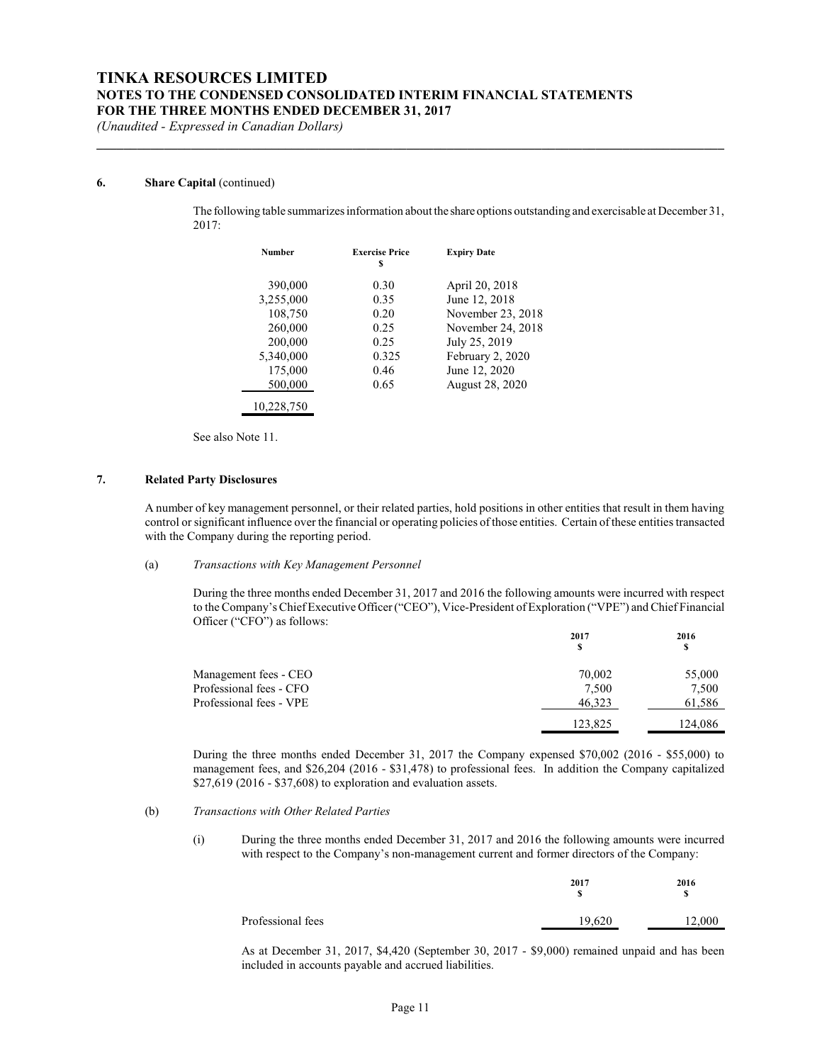**\_\_\_\_\_\_\_\_\_\_\_\_\_\_\_\_\_\_\_\_\_\_\_\_\_\_\_\_\_\_\_\_\_\_\_\_\_\_\_\_\_\_\_\_\_\_\_\_\_\_\_\_\_\_\_\_\_\_\_\_\_\_\_\_\_\_\_\_\_\_\_\_\_\_\_\_\_\_\_\_\_\_\_\_\_\_\_\_\_\_\_\_\_**

*(Unaudited - Expressed in Canadian Dollars)*

#### **6. Share Capital** (continued)

The following table summarizesinformation about the share options outstanding and exercisable at December 31, 2017:

| <b>Number</b> | <b>Exercise Price</b><br>S | <b>Expiry Date</b>     |
|---------------|----------------------------|------------------------|
| 390,000       | 0.30                       | April 20, 2018         |
| 3,255,000     | 0.35                       | June 12, 2018          |
| 108,750       | 0.20                       | November 23, 2018      |
| 260,000       | 0.25                       | November 24, 2018      |
| 200,000       | 0.25                       | July 25, 2019          |
| 5,340,000     | 0.325                      | February 2, 2020       |
| 175,000       | 0.46                       | June 12, 2020          |
| 500,000       | 0.65                       | <b>August 28, 2020</b> |
| 10,228,750    |                            |                        |

See also Note 11.

### **7. Related Party Disclosures**

A number of key management personnel, or their related parties, hold positions in other entities that result in them having control or significant influence over the financial or operating policies of those entities. Certain of these entities transacted with the Company during the reporting period.

#### (a) *Transactions with Key Management Personnel*

During the three months ended December 31, 2017 and 2016 the following amounts were incurred with respect to the Company's Chief Executive Officer ("CEO"), Vice-President of Exploration ("VPE") and Chief Financial Officer ("CFO") as follows:

|                         | 2017    | 2016    |  |
|-------------------------|---------|---------|--|
|                         | S       | S       |  |
| Management fees - CEO   | 70,002  | 55,000  |  |
| Professional fees - CFO | 7,500   | 7,500   |  |
| Professional fees - VPE | 46.323  | 61,586  |  |
|                         | 123.825 | 124.086 |  |

During the three months ended December 31, 2017 the Company expensed \$70,002 (2016 - \$55,000) to management fees, and \$26,204 (2016 - \$31,478) to professional fees. In addition the Company capitalized \$27,619 (2016 - \$37,608) to exploration and evaluation assets.

#### (b) *Transactions with Other Related Parties*

(i) During the three months ended December 31, 2017 and 2016 the following amounts were incurred with respect to the Company's non-management current and former directors of the Company:

|                   | 2017<br>S | 2016   |
|-------------------|-----------|--------|
| Professional fees | 19,620    | 12.000 |

As at December 31, 2017, \$4,420 (September 30, 2017 - \$9,000) remained unpaid and has been included in accounts payable and accrued liabilities.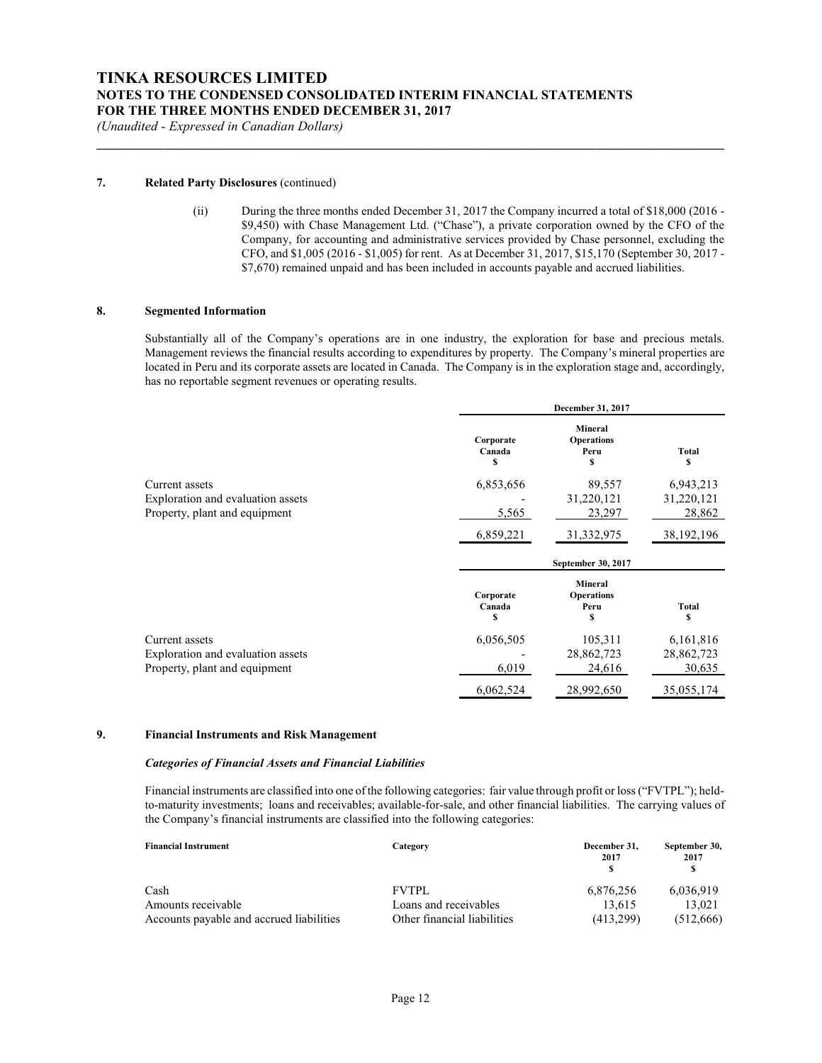**\_\_\_\_\_\_\_\_\_\_\_\_\_\_\_\_\_\_\_\_\_\_\_\_\_\_\_\_\_\_\_\_\_\_\_\_\_\_\_\_\_\_\_\_\_\_\_\_\_\_\_\_\_\_\_\_\_\_\_\_\_\_\_\_\_\_\_\_\_\_\_\_\_\_\_\_\_\_\_\_\_\_\_\_\_\_\_\_\_\_\_\_\_**

*(Unaudited - Expressed in Canadian Dollars)*

#### **7. Related Party Disclosures** (continued)

(ii) During the three months ended December 31, 2017 the Company incurred a total of \$18,000 (2016 - \$9,450) with Chase Management Ltd. ("Chase"), a private corporation owned by the CFO of the Company, for accounting and administrative services provided by Chase personnel, excluding the CFO, and \$1,005 (2016 - \$1,005) for rent. As at December 31, 2017, \$15,170 (September 30, 2017 - \$7,670) remained unpaid and has been included in accounts payable and accrued liabilities.

#### **8. Segmented Information**

Substantially all of the Company's operations are in one industry, the exploration for base and precious metals. Management reviews the financial results according to expenditures by property. The Company's mineral properties are located in Peru and its corporate assets are located in Canada. The Company is in the exploration stage and, accordingly, has no reportable segment revenues or operating results.

|                                                                                      |                          | December 31, 2017                                |                                   |
|--------------------------------------------------------------------------------------|--------------------------|--------------------------------------------------|-----------------------------------|
|                                                                                      | Corporate<br>Canada      | <b>Mineral</b><br><b>Operations</b><br>Peru<br>S | Total                             |
| Current assets<br>Exploration and evaluation assets<br>Property, plant and equipment | 6,853,656<br>5,565       | 89,557<br>31,220,121<br>23,297                   | 6,943,213<br>31,220,121<br>28,862 |
|                                                                                      | 6,859,221                | 31, 332, 975                                     | 38, 192, 196                      |
|                                                                                      | September 30, 2017       |                                                  |                                   |
|                                                                                      | Corporate<br>Canada<br>S | <b>Mineral</b><br><b>Operations</b><br>Peru<br>S | <b>Total</b><br>S                 |
| Current assets<br>Exploration and evaluation assets<br>Property, plant and equipment | 6,056,505<br>6,019       | 105,311<br>28,862,723<br>24,616                  | 6,161,816<br>28,862,723<br>30,635 |
|                                                                                      | 6,062,524                | 28,992,650                                       | 35,055,174                        |

### **9. Financial Instruments and Risk Management**

#### *Categories of Financial Assets and Financial Liabilities*

Financial instruments are classified into one of the following categories: fair value through profit or loss ("FVTPL"); heldto-maturity investments; loans and receivables; available-for-sale, and other financial liabilities. The carrying values of the Company's financial instruments are classified into the following categories:

| <b>Financial Instrument</b>              | Category                    | December 31,<br>2017 | September 30,<br>2017 |
|------------------------------------------|-----------------------------|----------------------|-----------------------|
| Cash                                     | <b>FVTPL</b>                | 6,876,256            | 6,036,919             |
| Amounts receivable                       | Loans and receivables       | 13.615               | 13.021                |
| Accounts payable and accrued liabilities | Other financial liabilities | (413.299)            | (512,666)             |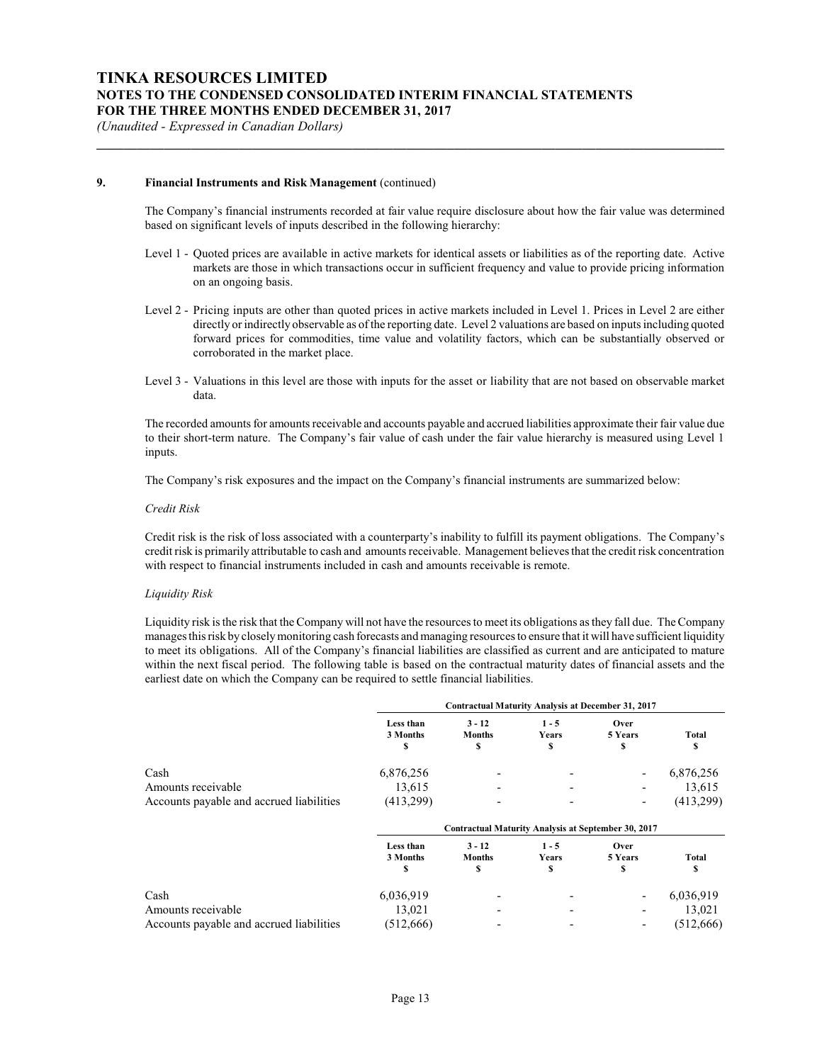#### **9. Financial Instruments and Risk Management** (continued)

The Company's financial instruments recorded at fair value require disclosure about how the fair value was determined based on significant levels of inputs described in the following hierarchy:

**\_\_\_\_\_\_\_\_\_\_\_\_\_\_\_\_\_\_\_\_\_\_\_\_\_\_\_\_\_\_\_\_\_\_\_\_\_\_\_\_\_\_\_\_\_\_\_\_\_\_\_\_\_\_\_\_\_\_\_\_\_\_\_\_\_\_\_\_\_\_\_\_\_\_\_\_\_\_\_\_\_\_\_\_\_\_\_\_\_\_\_\_\_**

- Level 1 Quoted prices are available in active markets for identical assets or liabilities as of the reporting date. Active markets are those in which transactions occur in sufficient frequency and value to provide pricing information on an ongoing basis.
- Level 2 Pricing inputs are other than quoted prices in active markets included in Level 1. Prices in Level 2 are either directly or indirectly observable as of the reporting date. Level 2 valuations are based on inputs including quoted forward prices for commodities, time value and volatility factors, which can be substantially observed or corroborated in the market place.
- Level 3 Valuations in this level are those with inputs for the asset or liability that are not based on observable market data.

The recorded amounts for amounts receivable and accounts payable and accrued liabilities approximate their fair value due to their short-term nature. The Company's fair value of cash under the fair value hierarchy is measured using Level 1 inputs.

The Company's risk exposures and the impact on the Company's financial instruments are summarized below:

#### *Credit Risk*

Credit risk is the risk of loss associated with a counterparty's inability to fulfill its payment obligations. The Company's credit risk is primarily attributable to cash and amounts receivable. Management believes that the credit risk concentration with respect to financial instruments included in cash and amounts receivable is remote.

#### *Liquidity Risk*

Liquidity risk is the risk that the Company will not have the resources to meet its obligations as they fall due. The Company manages this risk by closelymonitoring cash forecasts and managing resources to ensure that it will have sufficient liquidity to meet its obligations. All of the Company's financial liabilities are classified as current and are anticipated to mature within the next fiscal period. The following table is based on the contractual maturity dates of financial assets and the earliest date on which the Company can be required to settle financial liabilities.

|                                          | <b>Contractual Maturity Analysis at December 31, 2017</b> |                                                     |                        |                      |             |
|------------------------------------------|-----------------------------------------------------------|-----------------------------------------------------|------------------------|----------------------|-------------|
|                                          | Less than<br>3 Months                                     | $3 - 12$<br><b>Months</b><br>\$                     | $1 - 5$<br>Years<br>\$ | Over<br>5 Years<br>s | Total       |
| Cash                                     | 6,876,256                                                 |                                                     |                        |                      | 6,876,256   |
| Amounts receivable                       | 13,615                                                    |                                                     |                        |                      | 13,615      |
| Accounts payable and accrued liabilities | (413,299)                                                 |                                                     |                        |                      | (413,299)   |
|                                          |                                                           | Contractual Maturity Analysis at September 30, 2017 |                        |                      |             |
|                                          | Less than<br>3 Months<br>S                                | $3 - 12$<br><b>Months</b><br>\$                     | $1 - 5$<br>Years<br>\$ | Over<br>5 Years<br>S | Total<br>\$ |
| Cash                                     | 6,036,919                                                 |                                                     |                        |                      | 6,036,919   |
| Amounts receivable                       | 13,021                                                    |                                                     |                        |                      | 13,021      |
| Accounts payable and accrued liabilities | (512,666)                                                 |                                                     |                        |                      | (512,666)   |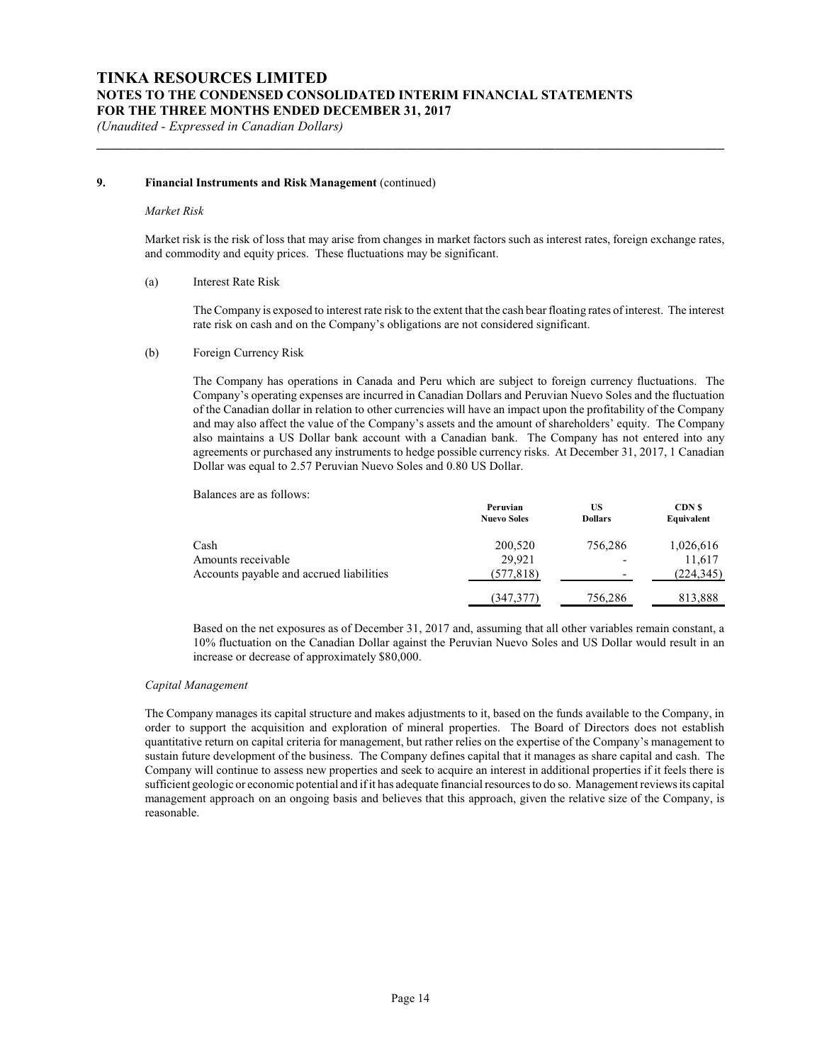#### **9. Financial Instruments and Risk Management** (continued)

#### *Market Risk*

Market risk is the risk of loss that may arise from changes in market factors such as interest rates, foreign exchange rates, and commodity and equity prices. These fluctuations may be significant.

**\_\_\_\_\_\_\_\_\_\_\_\_\_\_\_\_\_\_\_\_\_\_\_\_\_\_\_\_\_\_\_\_\_\_\_\_\_\_\_\_\_\_\_\_\_\_\_\_\_\_\_\_\_\_\_\_\_\_\_\_\_\_\_\_\_\_\_\_\_\_\_\_\_\_\_\_\_\_\_\_\_\_\_\_\_\_\_\_\_\_\_\_\_**

### (a) Interest Rate Risk

The Company is exposed to interest rate risk to the extent that the cash bear floating rates of interest. The interest rate risk on cash and on the Company's obligations are not considered significant.

#### (b) Foreign Currency Risk

The Company has operations in Canada and Peru which are subject to foreign currency fluctuations. The Company's operating expenses are incurred in Canadian Dollars and Peruvian Nuevo Soles and the fluctuation of the Canadian dollar in relation to other currencies will have an impact upon the profitability of the Company and may also affect the value of the Company's assets and the amount of shareholders' equity. The Company also maintains a US Dollar bank account with a Canadian bank. The Company has not entered into any agreements or purchased any instruments to hedge possible currency risks. At December 31, 2017, 1 Canadian Dollar was equal to 2.57 Peruvian Nuevo Soles and 0.80 US Dollar.

Balances are as follows:

|                                          | Peruvian<br><b>Nuevo Soles</b> | US<br><b>Dollars</b>     | <b>CDN</b> \$<br>Equivalent |
|------------------------------------------|--------------------------------|--------------------------|-----------------------------|
| Cash                                     | 200,520                        | 756.286                  | 1,026,616                   |
| Amounts receivable                       | 29.921                         | $\overline{\phantom{a}}$ | 11.617                      |
| Accounts payable and accrued liabilities | (577, 818)                     | $\overline{\phantom{a}}$ | (224, 345)                  |
|                                          | (347,377)                      | 756,286                  | 813,888                     |

Based on the net exposures as of December 31, 2017 and, assuming that all other variables remain constant, a 10% fluctuation on the Canadian Dollar against the Peruvian Nuevo Soles and US Dollar would result in an increase or decrease of approximately \$80,000.

#### *Capital Management*

The Company manages its capital structure and makes adjustments to it, based on the funds available to the Company, in order to support the acquisition and exploration of mineral properties. The Board of Directors does not establish quantitative return on capital criteria for management, but rather relies on the expertise of the Company's management to sustain future development of the business. The Company defines capital that it manages as share capital and cash. The Company will continue to assess new properties and seek to acquire an interest in additional properties if it feels there is sufficient geologic or economic potential and if it has adequate financial resources to do so. Management reviews its capital management approach on an ongoing basis and believes that this approach, given the relative size of the Company, is reasonable.